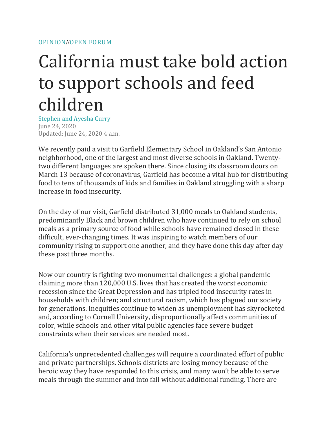## California must take bold action to support schools and feed children

Stephen and Ayesha Curry June 24, 2020 Updated: June 24, 2020 4 a.m.

We recently paid a visit to Garfield Elementary School in Oakland's San Antonio neighborhood, one of the largest and most diverse schools in Oakland. Twentytwo different languages are spoken there. Since closing its classroom doors on March 13 because of coronavirus, Garfield has become a vital hub for distributing food to tens of thousands of kids and families in Oakland struggling with a sharp increase in food insecurity.

On the day of our visit, Garfield distributed 31,000 meals to Oakland students, predominantly Black and brown children who have continued to rely on school meals as a primary source of food while schools have remained closed in these difficult, ever-changing times. It was inspiring to watch members of our community rising to support one another, and they have done this day after day these past three months.

Now our country is fighting two monumental challenges: a global pandemic claiming more than 120,000 U.S. lives that has created the worst economic recession since the Great Depression and has tripled food insecurity rates in households with children; and structural racism, which has plagued our society for generations. Inequities continue to widen as unemployment has skyrocketed and, according to Cornell University, [disproportionally affects communities of](https://www.newswise.com/articles/may-unemployment-likely-to-exceed-20-hitting-latino-black-workers-hardest)  [color,](https://www.newswise.com/articles/may-unemployment-likely-to-exceed-20-hitting-latino-black-workers-hardest) while schools and other vital public agencies face severe budget constraints when their services are needed most.

California's unprecedented challenges will require a coordinated effort of public and private partnerships. Schools districts are [losing money](https://www.usatoday.com/story/news/education/ck2020/05/31/coronavirus-school-lunch-programs-going-broke-because-kids-hunger/3101507001/) because of the heroic way they have responded to this crisis, and many won't be able to serve meals through the summer and into fall without additional funding. There are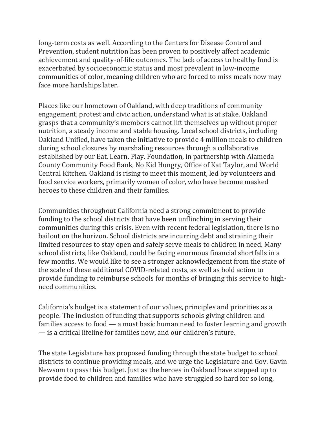long-term costs as well. According to the Centers for Disease Control and Prevention, student nutrition has been proven to [positively affect academic](https://www.cdc.gov/healthyschools/health_and_academics/pdf/factsheetDietaryBehaviors.pdf)  [achievement](https://www.cdc.gov/healthyschools/health_and_academics/pdf/factsheetDietaryBehaviors.pdf) and quality-of-life outcomes. The lack of access to healthy food is exacerbated by socioeconomic status and most prevalent in low-income communities of color, meaning children who are forced to miss meals now may face more hardships later.

Places like our hometown of Oakland, with deep traditions of community engagement, protest and civic action, understand what is at stake. Oakland grasps that a community's members cannot lift themselves up without proper nutrition, a steady income and stable housing. Local school districts, including Oakland Unified, have taken the initiative to provide 4 million meals to children during school closures by marshaling resources through a collaborative established by our Eat. Learn. Play. Foundation, in partnership with Alameda County Community Food Bank, No Kid Hungry, Office of Kat Taylor, and World Central Kitchen. Oakland is rising to meet this moment, led by volunteers and food service workers, primarily women of color, who have become masked heroes to these children and their families.

Communities throughout California need a strong commitment to provide funding to the school districts that have been unflinching in serving their communities during this crisis. Even with recent federal legislation, there is no bailout on the horizon. [School districts are incurring debt](https://www.usatoday.com/story/news/education/2020/05/31/coronavirus-school-lunch-programs-going-broke-because-kids-hunger/3101507001/) and straining their limited resources to stay open and safely serve meals to children in need. Many school districts, like Oakland, could be facing enormous financial shortfalls in a few months. We would like to see a stronger acknowledgement from the state of the scale of these additional COVID-related costs, as well as bold action to provide funding to reimburse schools for months of bringing this service to highneed communities.

California's budget is a statement of our values, principles and priorities as a people. The inclusion of funding that supports schools giving children and families access to food — a most basic human need to foster learning and growth — is a critical lifeline for families now, and our children's future.

The state Legislature has proposed funding through the state budget to school districts to continue providing meals, and we urge the Legislature and Gov. Gavin Newsom to pass this budget. Just as the heroes in Oakland have stepped up to provide food to children and families who have struggled so hard for so long,